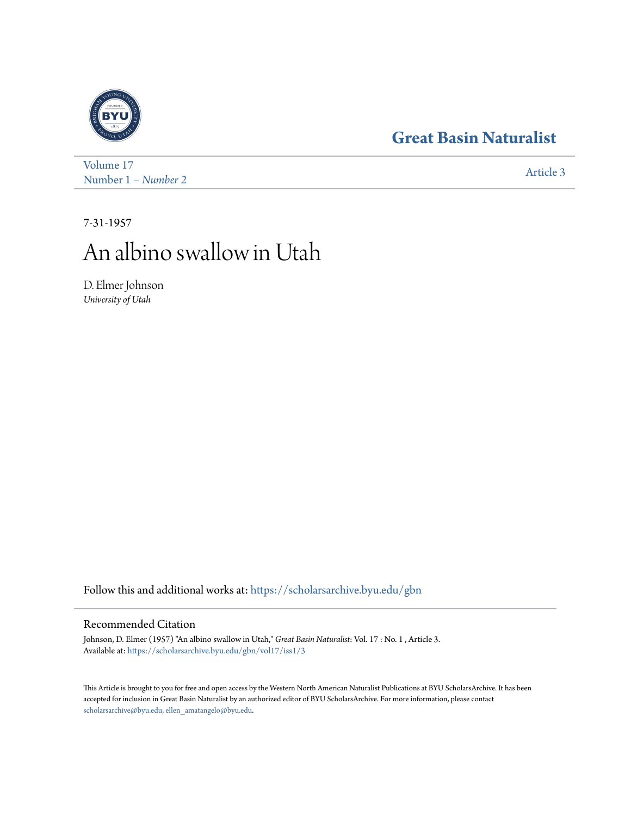# **[Great Basin Naturalist](https://scholarsarchive.byu.edu/gbn?utm_source=scholarsarchive.byu.edu%2Fgbn%2Fvol17%2Fiss1%2F3&utm_medium=PDF&utm_campaign=PDFCoverPages)**



[Volume 17](https://scholarsarchive.byu.edu/gbn/vol17?utm_source=scholarsarchive.byu.edu%2Fgbn%2Fvol17%2Fiss1%2F3&utm_medium=PDF&utm_campaign=PDFCoverPages) Number 1 *[– Number 2](https://scholarsarchive.byu.edu/gbn/vol17/iss1?utm_source=scholarsarchive.byu.edu%2Fgbn%2Fvol17%2Fiss1%2F3&utm_medium=PDF&utm_campaign=PDFCoverPages)* [Article 3](https://scholarsarchive.byu.edu/gbn/vol17/iss1/3?utm_source=scholarsarchive.byu.edu%2Fgbn%2Fvol17%2Fiss1%2F3&utm_medium=PDF&utm_campaign=PDFCoverPages)

7-31-1957

# An albino swallow in Utah

D. Elmer Johnson *University of Utah*

Follow this and additional works at: [https://scholarsarchive.byu.edu/gbn](https://scholarsarchive.byu.edu/gbn?utm_source=scholarsarchive.byu.edu%2Fgbn%2Fvol17%2Fiss1%2F3&utm_medium=PDF&utm_campaign=PDFCoverPages)

## Recommended Citation

Johnson, D. Elmer (1957) "An albino swallow in Utah," *Great Basin Naturalist*: Vol. 17 : No. 1 , Article 3. Available at: [https://scholarsarchive.byu.edu/gbn/vol17/iss1/3](https://scholarsarchive.byu.edu/gbn/vol17/iss1/3?utm_source=scholarsarchive.byu.edu%2Fgbn%2Fvol17%2Fiss1%2F3&utm_medium=PDF&utm_campaign=PDFCoverPages)

This Article is brought to you for free and open access by the Western North American Naturalist Publications at BYU ScholarsArchive. It has been accepted for inclusion in Great Basin Naturalist by an authorized editor of BYU ScholarsArchive. For more information, please contact [scholarsarchive@byu.edu, ellen\\_amatangelo@byu.edu.](mailto:scholarsarchive@byu.edu,%20ellen_amatangelo@byu.edu)